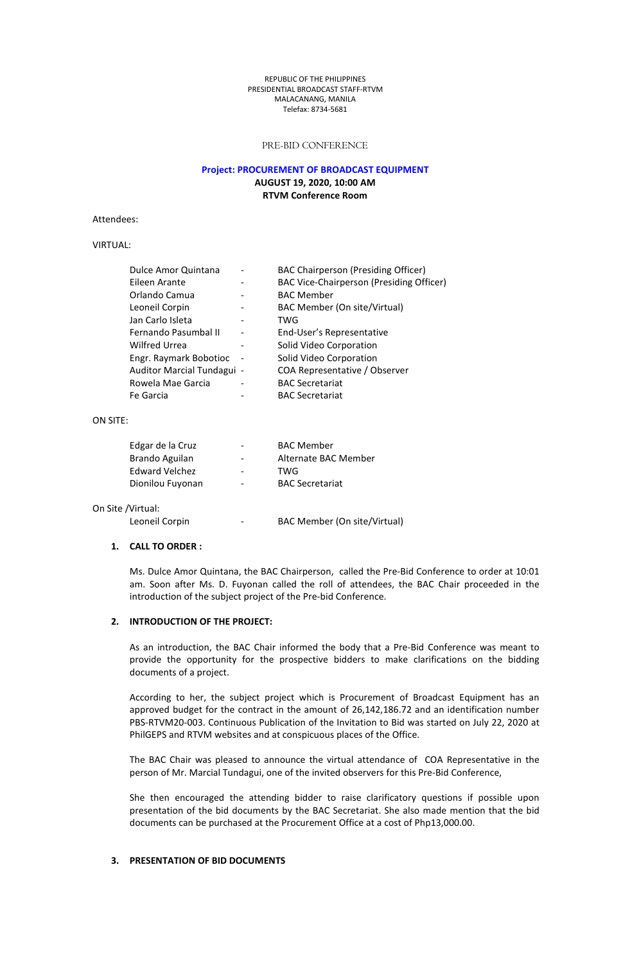#### REPUBLIC OFTHE PHILIPPINES PRESIDENTIAL BROADCAST STAFF-RTVM MALACANANG, MANILA Telefax: 8734-5681

### PRE-BID CONFERENCE

### **Project: PROCUREMENT OF BROADCAST EQUIPMENT AUGUST 19, 2020, 10:00 AM RTVM Conference Room**

Attendees:

# VIRTUAL:

| Dulce Amor Quintana        |                          | <b>BAC Chairperson (Presiding Officer)</b> |
|----------------------------|--------------------------|--------------------------------------------|
| Eileen Arante              |                          | BAC Vice-Chairperson (Presiding Officer)   |
| Orlando Camua              |                          | <b>BAC Member</b>                          |
| Leoneil Corpin             | $\overline{\phantom{a}}$ | BAC Member (On site/Virtual)               |
| Jan Carlo Isleta           |                          | TWG                                        |
| Fernando Pasumbal II       | $\overline{\phantom{a}}$ | End-User's Representative                  |
| <b>Wilfred Urrea</b>       |                          | Solid Video Corporation                    |
| Engr. Raymark Bobotioc     | $\overline{\phantom{a}}$ | Solid Video Corporation                    |
| Auditor Marcial Tundagui - |                          | COA Representative / Observer              |
| Rowela Mae Garcia          |                          | <b>BAC Secretariat</b>                     |
| Fe Garcia                  |                          | <b>BAC Secretariat</b>                     |

#### ON SITE:

| Edgar de la Cruz      | $\overline{\phantom{a}}$ | <b>BAC Member</b>      |  |
|-----------------------|--------------------------|------------------------|--|
| Brando Aguilan        | $\overline{\phantom{a}}$ | Alternate BAC Member   |  |
| Edward Velchez        | $\overline{\phantom{a}}$ | TWG                    |  |
| Dionilou Fuyonan      | $\overline{\phantom{a}}$ | <b>BAC Secretariat</b> |  |
|                       |                          |                        |  |
| /Virtual <sup>.</sup> |                          |                        |  |

On Site /Virtual:

Leoneil Corpin - BAC Member (On site/Virtual)

## **1. CALL TO ORDER :**

Ms. Dulce Amor Quintana, the BAC Chairperson, called the Pre-Bid Conference to order at 10:01 am. Soon after Ms. D. Fuyonan called the roll of attendees, the BAC Chair proceeded in the introduction of the subject project of the Pre-bid Conference.

## **2. INTRODUCTION OF THEPROJECT:**

As an introduction, the BAC Chair informed the body that a Pre-Bid Conference wasmeant to provide the opportunity for the prospective bidders to make clarifications on the bidding documents of a project.

According to her, the subject project which is Procurement of Broadcast Equipment has an approved budget for the contract in the amount of 26,142,186.72 and an identification number PBS-RTVM20-003. Continuous Publication of the Invitation to Bid was started on July 22, 2020 at PhilGEPS and RTVM websites and at conspicuous places of the Office.

The BAC Chair was pleased to announce the virtual attendance of COA Representative in the

person of Mr. Marcial Tundagui, one of the invited observers for this Pre-Bid Conference,<br>She then encouraged the attending bidder to raise clarificatory questions if possible upon presentation of the bid documents by the BAC Secretariat. She also made mention that the bid documents can be purchased at the Procurement Office at a cost of Php13,000.00.

## **3. PRESENTATION OF BID DOCUMENTS**